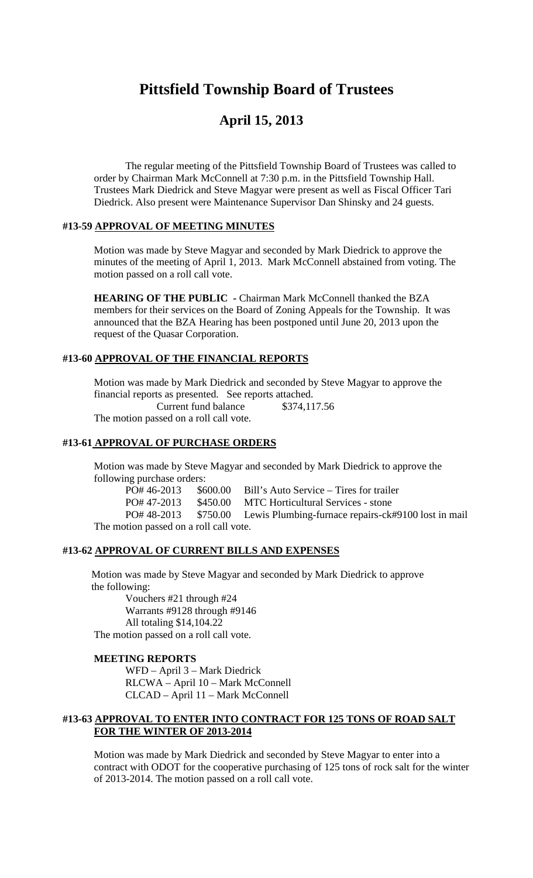# **Pittsfield Township Board of Trustees**

# **April 15, 2013**

The regular meeting of the Pittsfield Township Board of Trustees was called to order by Chairman Mark McConnell at 7:30 p.m. in the Pittsfield Township Hall. Trustees Mark Diedrick and Steve Magyar were present as well as Fiscal Officer Tari Diedrick. Also present were Maintenance Supervisor Dan Shinsky and 24 guests.

#### **#13-59 APPROVAL OF MEETING MINUTES**

Motion was made by Steve Magyar and seconded by Mark Diedrick to approve the minutes of the meeting of April 1, 2013. Mark McConnell abstained from voting. The motion passed on a roll call vote.

**HEARING OF THE PUBLIC -** Chairman Mark McConnell thanked the BZA members for their services on the Board of Zoning Appeals for the Township. It was announced that the BZA Hearing has been postponed until June 20, 2013 upon the request of the Quasar Corporation.

## **#13-60 APPROVAL OF THE FINANCIAL REPORTS**

Motion was made by Mark Diedrick and seconded by Steve Magyar to approve the financial reports as presented. See reports attached. Current fund balance \$374,117.56 The motion passed on a roll call vote.

#### **#13-61 APPROVAL OF PURCHASE ORDERS**

Motion was made by Steve Magyar and seconded by Mark Diedrick to approve the following purchase orders:

PO# 46-2013 \$600.00 Bill's Auto Service – Tires for trailer

PO# 47-2013 \$450.00 MTC Horticultural Services - stone

PO# 48-2013 \$750.00 Lewis Plumbing-furnace repairs-ck#9100 lost in mail The motion passed on a roll call vote.

#### **#13-62 APPROVAL OF CURRENT BILLS AND EXPENSES**

Motion was made by Steve Magyar and seconded by Mark Diedrick to approve the following:

Vouchers #21 through #24 Warrants #9128 through #9146 All totaling \$14,104.22 The motion passed on a roll call vote.

#### **MEETING REPORTS**

WFD – April 3 – Mark Diedrick RLCWA – April 10 – Mark McConnell CLCAD – April 11 – Mark McConnell

#### **#13-63 APPROVAL TO ENTER INTO CONTRACT FOR 125 TONS OF ROAD SALT FOR THE WINTER OF 2013-2014**

Motion was made by Mark Diedrick and seconded by Steve Magyar to enter into a contract with ODOT for the cooperative purchasing of 125 tons of rock salt for the winter of 2013-2014. The motion passed on a roll call vote.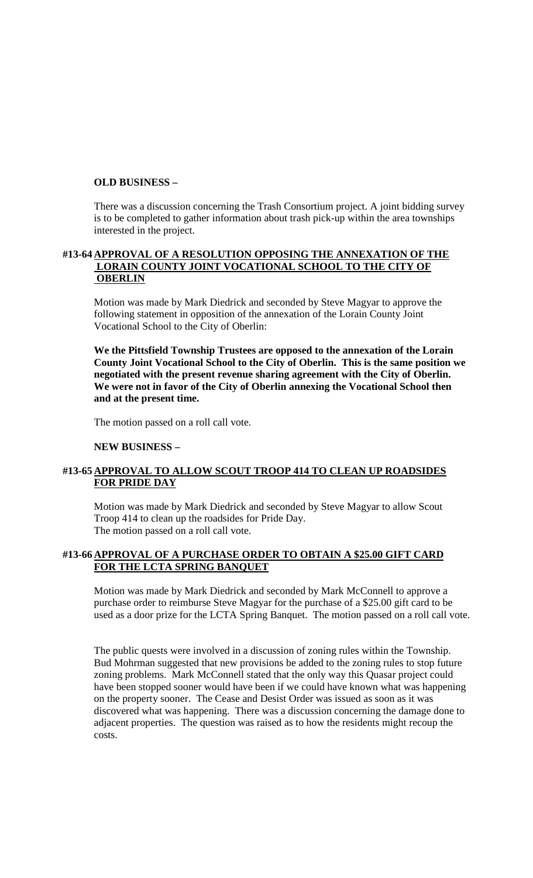#### **OLD BUSINESS –**

There was a discussion concerning the Trash Consortium project. A joint bidding survey is to be completed to gather information about trash pick-up within the area townships interested in the project.

### **#13-64 APPROVAL OF A RESOLUTION OPPOSING THE ANNEXATION OF THE LORAIN COUNTY JOINT VOCATIONAL SCHOOL TO THE CITY OF OBERLIN**

Motion was made by Mark Diedrick and seconded by Steve Magyar to approve the following statement in opposition of the annexation of the Lorain County Joint Vocational School to the City of Oberlin:

**We the Pittsfield Township Trustees are opposed to the annexation of the Lorain County Joint Vocational School to the City of Oberlin. This is the same position we negotiated with the present revenue sharing agreement with the City of Oberlin. We were not in favor of the City of Oberlin annexing the Vocational School then and at the present time.**

The motion passed on a roll call vote.

#### **NEW BUSINESS –**

## **#13-65 APPROVAL TO ALLOW SCOUT TROOP 414 TO CLEAN UP ROADSIDES FOR PRIDE DAY**

Motion was made by Mark Diedrick and seconded by Steve Magyar to allow Scout Troop 414 to clean up the roadsides for Pride Day. The motion passed on a roll call vote.

#### **#13-66 APPROVAL OF A PURCHASE ORDER TO OBTAIN A \$25.00 GIFT CARD FOR THE LCTA SPRING BANQUET**

Motion was made by Mark Diedrick and seconded by Mark McConnell to approve a purchase order to reimburse Steve Magyar for the purchase of a \$25.00 gift card to be used as a door prize for the LCTA Spring Banquet. The motion passed on a roll call vote.

The public quests were involved in a discussion of zoning rules within the Township. Bud Mohrman suggested that new provisions be added to the zoning rules to stop future zoning problems. Mark McConnell stated that the only way this Quasar project could have been stopped sooner would have been if we could have known what was happening on the property sooner. The Cease and Desist Order was issued as soon as it was discovered what was happening. There was a discussion concerning the damage done to adjacent properties. The question was raised as to how the residents might recoup the costs.